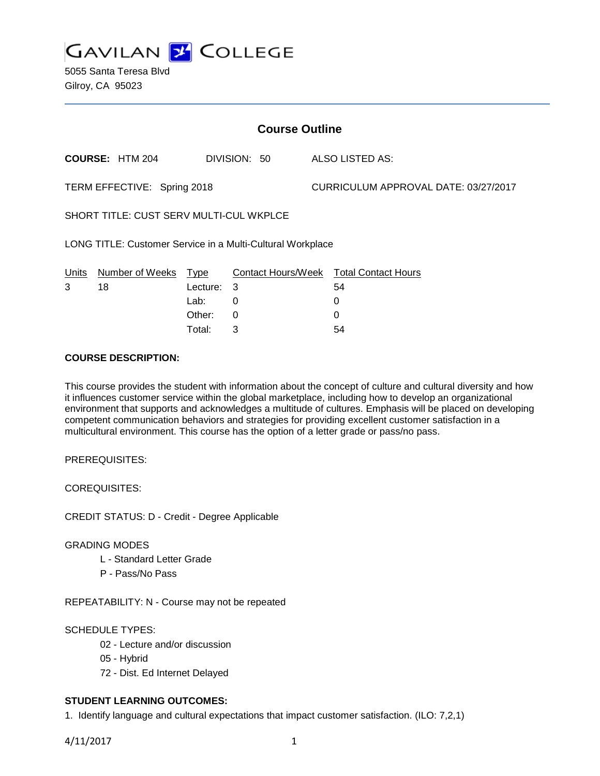

5055 Santa Teresa Blvd Gilroy, CA 95023

| <b>Course Outline</b>                                      |                        |          |              |                                      |                                        |
|------------------------------------------------------------|------------------------|----------|--------------|--------------------------------------|----------------------------------------|
|                                                            | <b>COURSE: HTM 204</b> |          | DIVISION: 50 |                                      | <b>ALSO LISTED AS:</b>                 |
| TERM EFFECTIVE: Spring 2018                                |                        |          |              | CURRICULUM APPROVAL DATE: 03/27/2017 |                                        |
| <b>SHORT TITLE: CUST SERV MULTI-CUL WKPLCE</b>             |                        |          |              |                                      |                                        |
| LONG TITLE: Customer Service in a Multi-Cultural Workplace |                        |          |              |                                      |                                        |
| <b>Units</b>                                               | Number of Weeks Type   |          |              |                                      | Contact Hours/Week Total Contact Hours |
| 3                                                          | 18                     | Lecture: | 3            |                                      | 54                                     |
|                                                            |                        | Lab:     | 0            |                                      | 0                                      |
|                                                            |                        | Other:   | 0            |                                      | 0                                      |
|                                                            |                        | Total:   | 3            |                                      | 54                                     |

### **COURSE DESCRIPTION:**

This course provides the student with information about the concept of culture and cultural diversity and how it influences customer service within the global marketplace, including how to develop an organizational environment that supports and acknowledges a multitude of cultures. Emphasis will be placed on developing competent communication behaviors and strategies for providing excellent customer satisfaction in a multicultural environment. This course has the option of a letter grade or pass/no pass.

PREREQUISITES:

COREQUISITES:

CREDIT STATUS: D - Credit - Degree Applicable

### GRADING MODES

- L Standard Letter Grade
- P Pass/No Pass

REPEATABILITY: N - Course may not be repeated

## SCHEDULE TYPES:

- 02 Lecture and/or discussion
- 05 Hybrid
- 72 Dist. Ed Internet Delayed

## **STUDENT LEARNING OUTCOMES:**

1. Identify language and cultural expectations that impact customer satisfaction. (ILO: 7,2,1)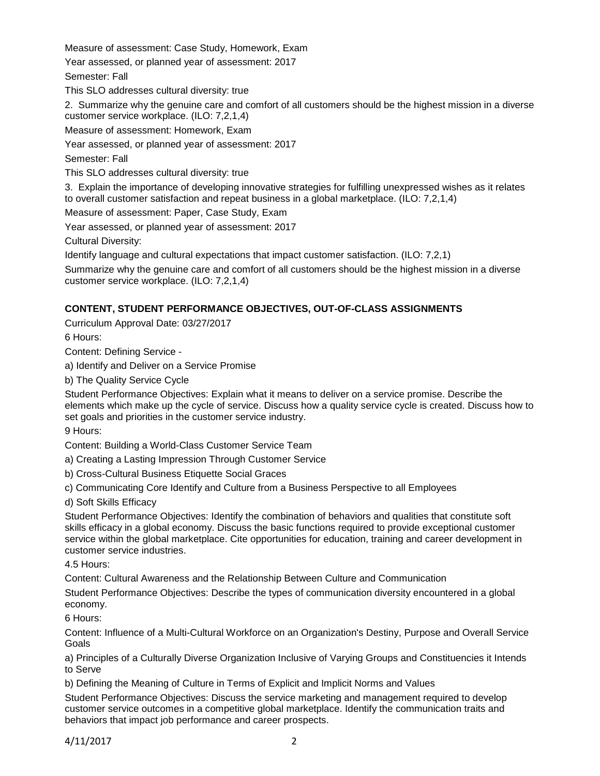Measure of assessment: Case Study, Homework, Exam Year assessed, or planned year of assessment: 2017 Semester: Fall This SLO addresses cultural diversity: true 2. Summarize why the genuine care and comfort of all customers should be the highest mission in a diverse customer service workplace. (ILO: 7,2,1,4) Measure of assessment: Homework, Exam Year assessed, or planned year of assessment: 2017 Semester: Fall This SLO addresses cultural diversity: true 3. Explain the importance of developing innovative strategies for fulfilling unexpressed wishes as it relates to overall customer satisfaction and repeat business in a global marketplace. (ILO: 7,2,1,4) Measure of assessment: Paper, Case Study, Exam Year assessed, or planned year of assessment: 2017

Cultural Diversity:

Identify language and cultural expectations that impact customer satisfaction. (ILO: 7,2,1)

Summarize why the genuine care and comfort of all customers should be the highest mission in a diverse customer service workplace. (ILO: 7,2,1,4)

# **CONTENT, STUDENT PERFORMANCE OBJECTIVES, OUT-OF-CLASS ASSIGNMENTS**

Curriculum Approval Date: 03/27/2017

6 Hours:

Content: Defining Service -

a) Identify and Deliver on a Service Promise

b) The Quality Service Cycle

Student Performance Objectives: Explain what it means to deliver on a service promise. Describe the elements which make up the cycle of service. Discuss how a quality service cycle is created. Discuss how to set goals and priorities in the customer service industry.

9 Hours:

Content: Building a World-Class Customer Service Team

a) Creating a Lasting Impression Through Customer Service

b) Cross-Cultural Business Etiquette Social Graces

c) Communicating Core Identify and Culture from a Business Perspective to all Employees

d) Soft Skills Efficacy

Student Performance Objectives: Identify the combination of behaviors and qualities that constitute soft skills efficacy in a global economy. Discuss the basic functions required to provide exceptional customer service within the global marketplace. Cite opportunities for education, training and career development in customer service industries.

4.5 Hours:

Content: Cultural Awareness and the Relationship Between Culture and Communication

Student Performance Objectives: Describe the types of communication diversity encountered in a global economy.

6 Hours:

Content: Influence of a Multi-Cultural Workforce on an Organization's Destiny, Purpose and Overall Service Goals

a) Principles of a Culturally Diverse Organization Inclusive of Varying Groups and Constituencies it Intends to Serve

b) Defining the Meaning of Culture in Terms of Explicit and Implicit Norms and Values

Student Performance Objectives: Discuss the service marketing and management required to develop customer service outcomes in a competitive global marketplace. Identify the communication traits and behaviors that impact job performance and career prospects.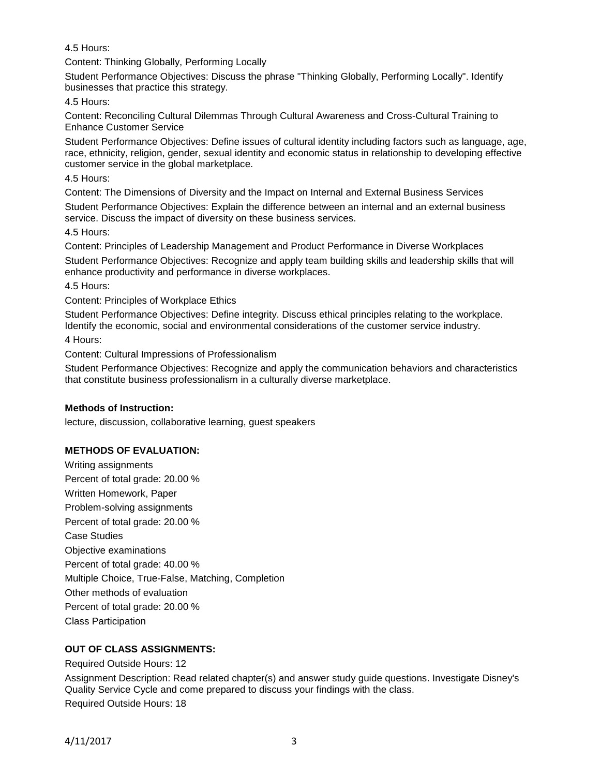4.5 Hours:

Content: Thinking Globally, Performing Locally

Student Performance Objectives: Discuss the phrase "Thinking Globally, Performing Locally". Identify businesses that practice this strategy.

4.5 Hours:

Content: Reconciling Cultural Dilemmas Through Cultural Awareness and Cross-Cultural Training to Enhance Customer Service

Student Performance Objectives: Define issues of cultural identity including factors such as language, age, race, ethnicity, religion, gender, sexual identity and economic status in relationship to developing effective customer service in the global marketplace.

4.5 Hours:

Content: The Dimensions of Diversity and the Impact on Internal and External Business Services Student Performance Objectives: Explain the difference between an internal and an external business service. Discuss the impact of diversity on these business services.

4.5 Hours:

Content: Principles of Leadership Management and Product Performance in Diverse Workplaces Student Performance Objectives: Recognize and apply team building skills and leadership skills that will

enhance productivity and performance in diverse workplaces.

4.5 Hours:

Content: Principles of Workplace Ethics

Student Performance Objectives: Define integrity. Discuss ethical principles relating to the workplace. Identify the economic, social and environmental considerations of the customer service industry.

4 Hours:

Content: Cultural Impressions of Professionalism

Student Performance Objectives: Recognize and apply the communication behaviors and characteristics that constitute business professionalism in a culturally diverse marketplace.

# **Methods of Instruction:**

lecture, discussion, collaborative learning, guest speakers

# **METHODS OF EVALUATION:**

Writing assignments Percent of total grade: 20.00 % Written Homework, Paper Problem-solving assignments Percent of total grade: 20.00 % Case Studies Objective examinations Percent of total grade: 40.00 % Multiple Choice, True-False, Matching, Completion Other methods of evaluation Percent of total grade: 20.00 % Class Participation

# **OUT OF CLASS ASSIGNMENTS:**

Required Outside Hours: 12

Assignment Description: Read related chapter(s) and answer study guide questions. Investigate Disney's Quality Service Cycle and come prepared to discuss your findings with the class. Required Outside Hours: 18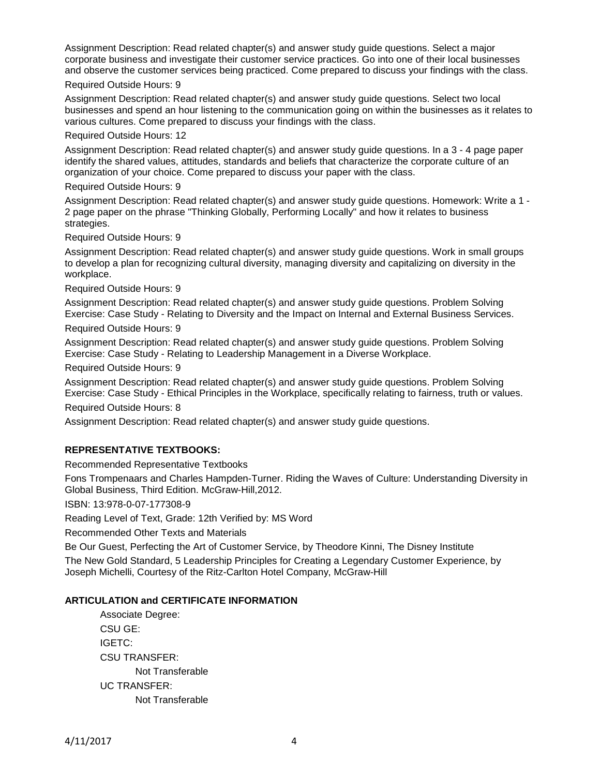Assignment Description: Read related chapter(s) and answer study guide questions. Select a major corporate business and investigate their customer service practices. Go into one of their local businesses and observe the customer services being practiced. Come prepared to discuss your findings with the class.

### Required Outside Hours: 9

Assignment Description: Read related chapter(s) and answer study guide questions. Select two local businesses and spend an hour listening to the communication going on within the businesses as it relates to various cultures. Come prepared to discuss your findings with the class.

### Required Outside Hours: 12

Assignment Description: Read related chapter(s) and answer study guide questions. In a 3 - 4 page paper identify the shared values, attitudes, standards and beliefs that characterize the corporate culture of an organization of your choice. Come prepared to discuss your paper with the class.

### Required Outside Hours: 9

Assignment Description: Read related chapter(s) and answer study guide questions. Homework: Write a 1 - 2 page paper on the phrase "Thinking Globally, Performing Locally" and how it relates to business strategies.

Required Outside Hours: 9

Assignment Description: Read related chapter(s) and answer study guide questions. Work in small groups to develop a plan for recognizing cultural diversity, managing diversity and capitalizing on diversity in the workplace.

Required Outside Hours: 9

Assignment Description: Read related chapter(s) and answer study guide questions. Problem Solving Exercise: Case Study - Relating to Diversity and the Impact on Internal and External Business Services.

Required Outside Hours: 9

Assignment Description: Read related chapter(s) and answer study guide questions. Problem Solving Exercise: Case Study - Relating to Leadership Management in a Diverse Workplace.

Required Outside Hours: 9

Assignment Description: Read related chapter(s) and answer study guide questions. Problem Solving Exercise: Case Study - Ethical Principles in the Workplace, specifically relating to fairness, truth or values.

Required Outside Hours: 8

Assignment Description: Read related chapter(s) and answer study guide questions.

### **REPRESENTATIVE TEXTBOOKS:**

Recommended Representative Textbooks

Fons Trompenaars and Charles Hampden-Turner. Riding the Waves of Culture: Understanding Diversity in Global Business, Third Edition. McGraw-Hill,2012.

ISBN: 13:978-0-07-177308-9

Reading Level of Text, Grade: 12th Verified by: MS Word

Recommended Other Texts and Materials

Be Our Guest, Perfecting the Art of Customer Service, by Theodore Kinni, The Disney Institute The New Gold Standard, 5 Leadership Principles for Creating a Legendary Customer Experience, by Joseph Michelli, Courtesy of the Ritz-Carlton Hotel Company, McGraw-Hill

### **ARTICULATION and CERTIFICATE INFORMATION**

Associate Degree: CSU GE: IGETC: CSU TRANSFER: Not Transferable UC TRANSFER: Not Transferable